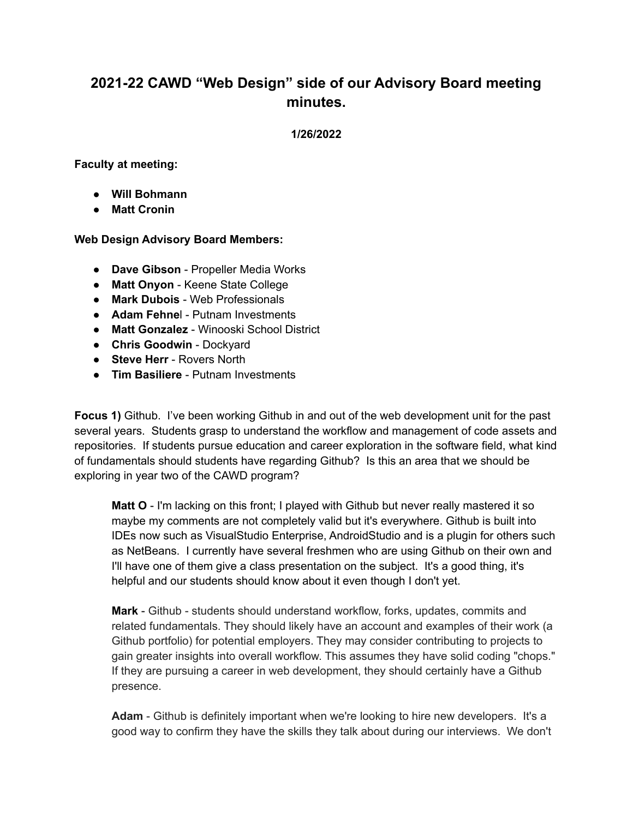# **2021-22 CAWD "Web Design" side of our Advisory Board meeting minutes.**

#### **1/26/2022**

**Faculty at meeting:**

- **● Will Bohmann**
- **● Matt Cronin**

#### **Web Design Advisory Board Members:**

- **Dave Gibson** Propeller Media Works
- **Matt Onyon** Keene State College
- **Mark Dubois** Web Professionals
- **Adam Fehne**l Putnam Investments
- **Matt Gonzalez** Winooski School District
- **Chris Goodwin** Dockyard
- **Steve Herr** Rovers North
- **Tim Basiliere** Putnam Investments

**Focus 1)** Github. I've been working Github in and out of the web development unit for the past several years. Students grasp to understand the workflow and management of code assets and repositories. If students pursue education and career exploration in the software field, what kind of fundamentals should students have regarding Github? Is this an area that we should be exploring in year two of the CAWD program?

**Matt O** - I'm lacking on this front; I played with Github but never really mastered it so maybe my comments are not completely valid but it's everywhere. Github is built into IDEs now such as VisualStudio Enterprise, AndroidStudio and is a plugin for others such as NetBeans. I currently have several freshmen who are using Github on their own and I'll have one of them give a class presentation on the subject. It's a good thing, it's helpful and our students should know about it even though I don't yet.

**Mark** - Github - students should understand workflow, forks, updates, commits and related fundamentals. They should likely have an account and examples of their work (a Github portfolio) for potential employers. They may consider contributing to projects to gain greater insights into overall workflow. This assumes they have solid coding "chops." If they are pursuing a career in web development, they should certainly have a Github presence.

**Adam** - Github is definitely important when we're looking to hire new developers. It's a good way to confirm they have the skills they talk about during our interviews. We don't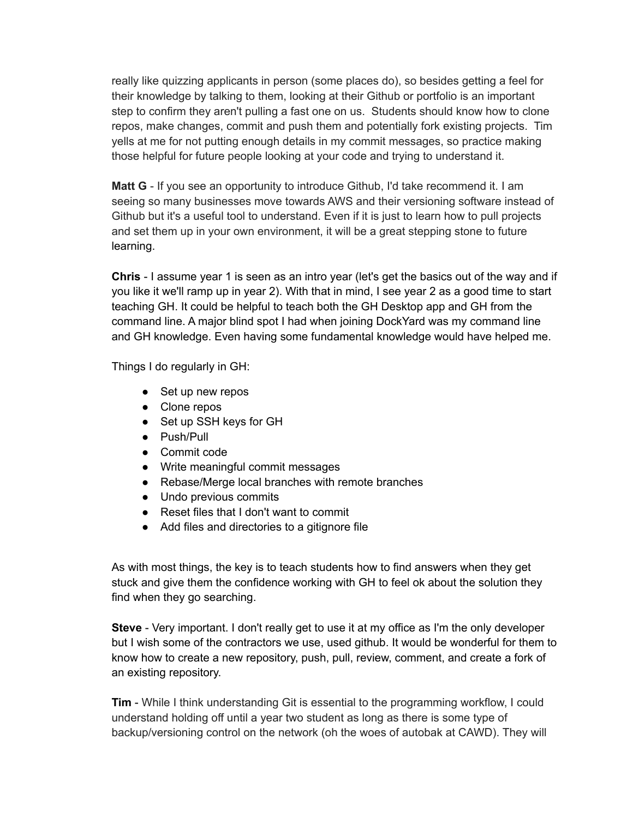really like quizzing applicants in person (some places do), so besides getting a feel for their knowledge by talking to them, looking at their Github or portfolio is an important step to confirm they aren't pulling a fast one on us. Students should know how to clone repos, make changes, commit and push them and potentially fork existing projects. Tim yells at me for not putting enough details in my commit messages, so practice making those helpful for future people looking at your code and trying to understand it.

**Matt G** - If you see an opportunity to introduce Github, I'd take recommend it. I am seeing so many businesses move towards AWS and their versioning software instead of Github but it's a useful tool to understand. Even if it is just to learn how to pull projects and set them up in your own environment, it will be a great stepping stone to future learning.

**Chris** - I assume year 1 is seen as an intro year (let's get the basics out of the way and if you like it we'll ramp up in year 2). With that in mind, I see year 2 as a good time to start teaching GH. It could be helpful to teach both the GH Desktop app and GH from the command line. A major blind spot I had when joining DockYard was my command line and GH knowledge. Even having some fundamental knowledge would have helped me.

Things I do regularly in GH:

- Set up new repos
- Clone repos
- Set up SSH keys for GH
- Push/Pull
- Commit code
- Write meaningful commit messages
- Rebase/Merge local branches with remote branches
- Undo previous commits
- Reset files that I don't want to commit
- Add files and directories to a gitignore file

As with most things, the key is to teach students how to find answers when they get stuck and give them the confidence working with GH to feel ok about the solution they find when they go searching.

**Steve** - Very important. I don't really get to use it at my office as I'm the only developer but I wish some of the contractors we use, used github. It would be wonderful for them to know how to create a new repository, push, pull, review, comment, and create a fork of an existing repository.

**Tim** - While I think understanding Git is essential to the programming workflow, I could understand holding off until a year two student as long as there is some type of backup/versioning control on the network (oh the woes of autobak at CAWD). They will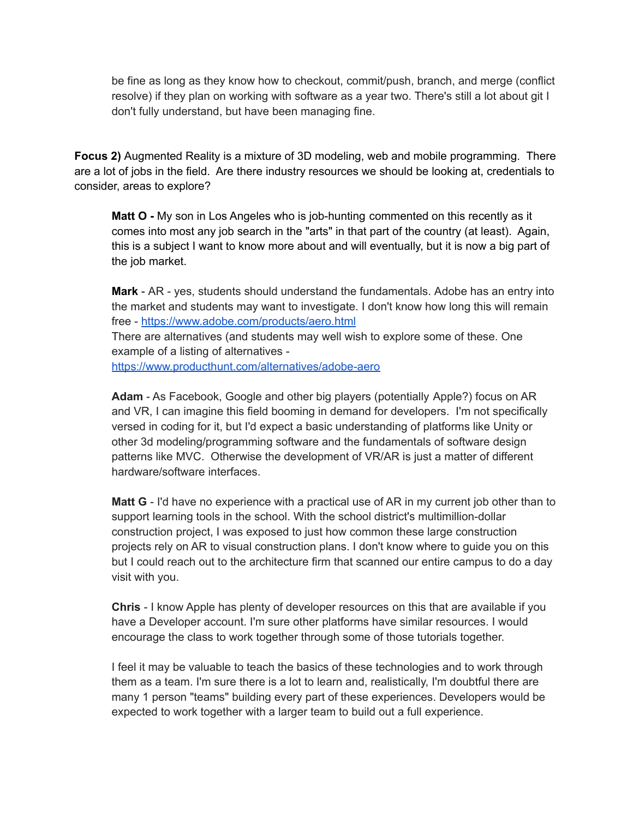be fine as long as they know how to checkout, commit/push, branch, and merge (conflict resolve) if they plan on working with software as a year two. There's still a lot about git I don't fully understand, but have been managing fine.

**Focus 2)** Augmented Reality is a mixture of 3D modeling, web and mobile programming. There are a lot of jobs in the field. Are there industry resources we should be looking at, credentials to consider, areas to explore?

**Matt O -** My son in Los Angeles who is job-hunting commented on this recently as it comes into most any job search in the "arts" in that part of the country (at least). Again, this is a subject I want to know more about and will eventually, but it is now a big part of the job market.

**Mark** - AR - yes, students should understand the fundamentals. Adobe has an entry into the market and students may want to investigate. I don't know how long this will remain free - <https://www.adobe.com/products/aero.html> There are alternatives (and students may well wish to explore some of these. One example of a listing of alternatives <https://www.producthunt.com/alternatives/adobe-aero>

**Adam** - As Facebook, Google and other big players (potentially Apple?) focus on AR and VR, I can imagine this field booming in demand for developers. I'm not specifically versed in coding for it, but I'd expect a basic understanding of platforms like Unity or other 3d modeling/programming software and the fundamentals of software design patterns like MVC. Otherwise the development of VR/AR is just a matter of different hardware/software interfaces.

**Matt G** - I'd have no experience with a practical use of AR in my current job other than to support learning tools in the school. With the school district's multimillion-dollar construction project, I was exposed to just how common these large construction projects rely on AR to visual construction plans. I don't know where to guide you on this but I could reach out to the architecture firm that scanned our entire campus to do a day visit with you.

**Chris** - I know Apple has plenty of developer resources on this that are available if you have a Developer account. I'm sure other platforms have similar resources. I would encourage the class to work together through some of those tutorials together.

I feel it may be valuable to teach the basics of these technologies and to work through them as a team. I'm sure there is a lot to learn and, realistically, I'm doubtful there are many 1 person "teams" building every part of these experiences. Developers would be expected to work together with a larger team to build out a full experience.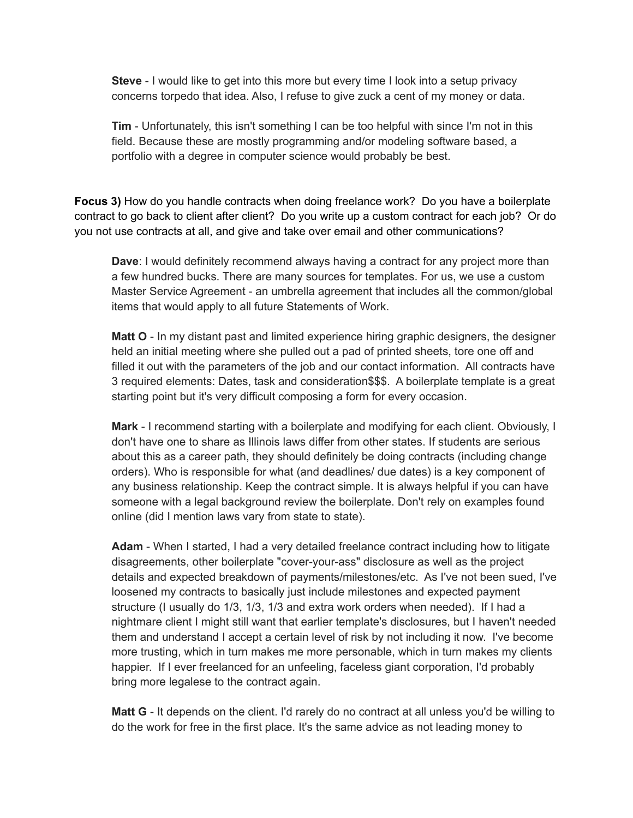**Steve** - I would like to get into this more but every time I look into a setup privacy concerns torpedo that idea. Also, I refuse to give zuck a cent of my money or data.

**Tim** - Unfortunately, this isn't something I can be too helpful with since I'm not in this field. Because these are mostly programming and/or modeling software based, a portfolio with a degree in computer science would probably be best.

**Focus 3)** How do you handle contracts when doing freelance work? Do you have a boilerplate contract to go back to client after client? Do you write up a custom contract for each job? Or do you not use contracts at all, and give and take over email and other communications?

**Dave**: I would definitely recommend always having a contract for any project more than a few hundred bucks. There are many sources for templates. For us, we use a custom Master Service Agreement - an umbrella agreement that includes all the common/global items that would apply to all future Statements of Work.

**Matt O** - In my distant past and limited experience hiring graphic designers, the designer held an initial meeting where she pulled out a pad of printed sheets, tore one off and filled it out with the parameters of the job and our contact information. All contracts have 3 required elements: Dates, task and consideration\$\$\$. A boilerplate template is a great starting point but it's very difficult composing a form for every occasion.

**Mark** - I recommend starting with a boilerplate and modifying for each client. Obviously, I don't have one to share as Illinois laws differ from other states. If students are serious about this as a career path, they should definitely be doing contracts (including change orders). Who is responsible for what (and deadlines/ due dates) is a key component of any business relationship. Keep the contract simple. It is always helpful if you can have someone with a legal background review the boilerplate. Don't rely on examples found online (did I mention laws vary from state to state).

**Adam** - When I started, I had a very detailed freelance contract including how to litigate disagreements, other boilerplate "cover-your-ass" disclosure as well as the project details and expected breakdown of payments/milestones/etc. As I've not been sued, I've loosened my contracts to basically just include milestones and expected payment structure (I usually do 1/3, 1/3, 1/3 and extra work orders when needed). If I had a nightmare client I might still want that earlier template's disclosures, but I haven't needed them and understand I accept a certain level of risk by not including it now. I've become more trusting, which in turn makes me more personable, which in turn makes my clients happier. If I ever freelanced for an unfeeling, faceless giant corporation, I'd probably bring more legalese to the contract again.

**Matt G** - It depends on the client. I'd rarely do no contract at all unless you'd be willing to do the work for free in the first place. It's the same advice as not leading money to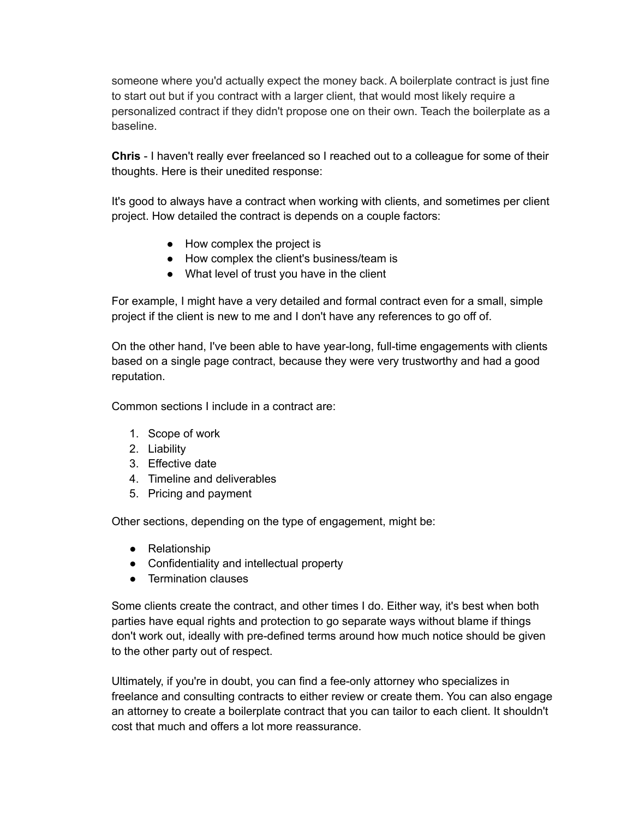someone where you'd actually expect the money back. A boilerplate contract is just fine to start out but if you contract with a larger client, that would most likely require a personalized contract if they didn't propose one on their own. Teach the boilerplate as a baseline.

**Chris** - I haven't really ever freelanced so I reached out to a colleague for some of their thoughts. Here is their unedited response:

It's good to always have a contract when working with clients, and sometimes per client project. How detailed the contract is depends on a couple factors:

- How complex the project is
- How complex the client's business/team is
- What level of trust you have in the client

For example, I might have a very detailed and formal contract even for a small, simple project if the client is new to me and I don't have any references to go off of.

On the other hand, I've been able to have year-long, full-time engagements with clients based on a single page contract, because they were very trustworthy and had a good reputation.

Common sections I include in a contract are:

- 1. Scope of work
- 2. Liability
- 3. Effective date
- 4. Timeline and deliverables
- 5. Pricing and payment

Other sections, depending on the type of engagement, might be:

- Relationship
- Confidentiality and intellectual property
- Termination clauses

Some clients create the contract, and other times I do. Either way, it's best when both parties have equal rights and protection to go separate ways without blame if things don't work out, ideally with pre-defined terms around how much notice should be given to the other party out of respect.

Ultimately, if you're in doubt, you can find a fee-only attorney who specializes in freelance and consulting contracts to either review or create them. You can also engage an attorney to create a boilerplate contract that you can tailor to each client. It shouldn't cost that much and offers a lot more reassurance.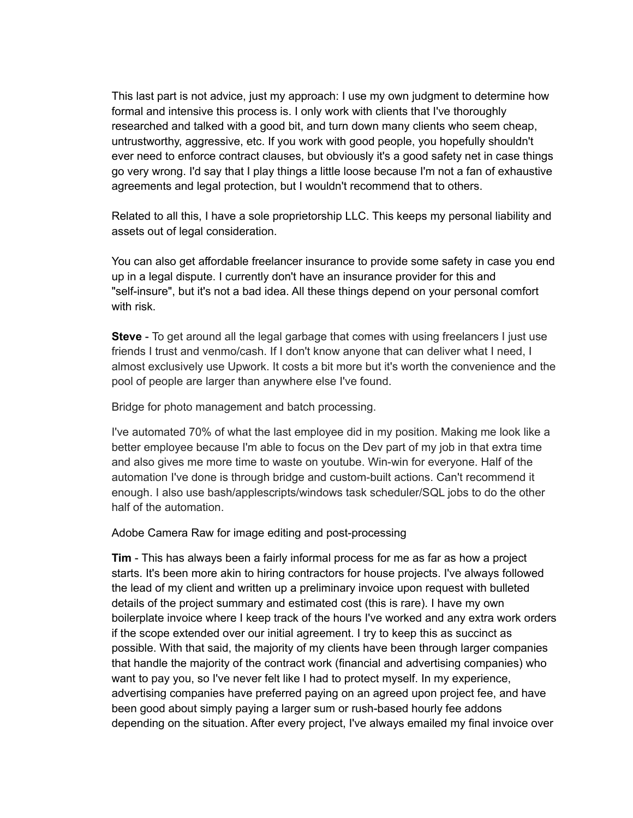This last part is not advice, just my approach: I use my own judgment to determine how formal and intensive this process is. I only work with clients that I've thoroughly researched and talked with a good bit, and turn down many clients who seem cheap, untrustworthy, aggressive, etc. If you work with good people, you hopefully shouldn't ever need to enforce contract clauses, but obviously it's a good safety net in case things go very wrong. I'd say that I play things a little loose because I'm not a fan of exhaustive agreements and legal protection, but I wouldn't recommend that to others.

Related to all this, I have a sole proprietorship LLC. This keeps my personal liability and assets out of legal consideration.

You can also get affordable freelancer insurance to provide some safety in case you end up in a legal dispute. I currently don't have an insurance provider for this and "self-insure", but it's not a bad idea. All these things depend on your personal comfort with risk.

**Steve** - To get around all the legal garbage that comes with using freelancers I just use friends I trust and venmo/cash. If I don't know anyone that can deliver what I need, I almost exclusively use Upwork. It costs a bit more but it's worth the convenience and the pool of people are larger than anywhere else I've found.

Bridge for photo management and batch processing.

I've automated 70% of what the last employee did in my position. Making me look like a better employee because I'm able to focus on the Dev part of my job in that extra time and also gives me more time to waste on youtube. Win-win for everyone. Half of the automation I've done is through bridge and custom-built actions. Can't recommend it enough. I also use bash/applescripts/windows task scheduler/SQL jobs to do the other half of the automation.

Adobe Camera Raw for image editing and post-processing

**Tim** - This has always been a fairly informal process for me as far as how a project starts. It's been more akin to hiring contractors for house projects. I've always followed the lead of my client and written up a preliminary invoice upon request with bulleted details of the project summary and estimated cost (this is rare). I have my own boilerplate invoice where I keep track of the hours I've worked and any extra work orders if the scope extended over our initial agreement. I try to keep this as succinct as possible. With that said, the majority of my clients have been through larger companies that handle the majority of the contract work (financial and advertising companies) who want to pay you, so I've never felt like I had to protect myself. In my experience, advertising companies have preferred paying on an agreed upon project fee, and have been good about simply paying a larger sum or rush-based hourly fee addons depending on the situation. After every project, I've always emailed my final invoice over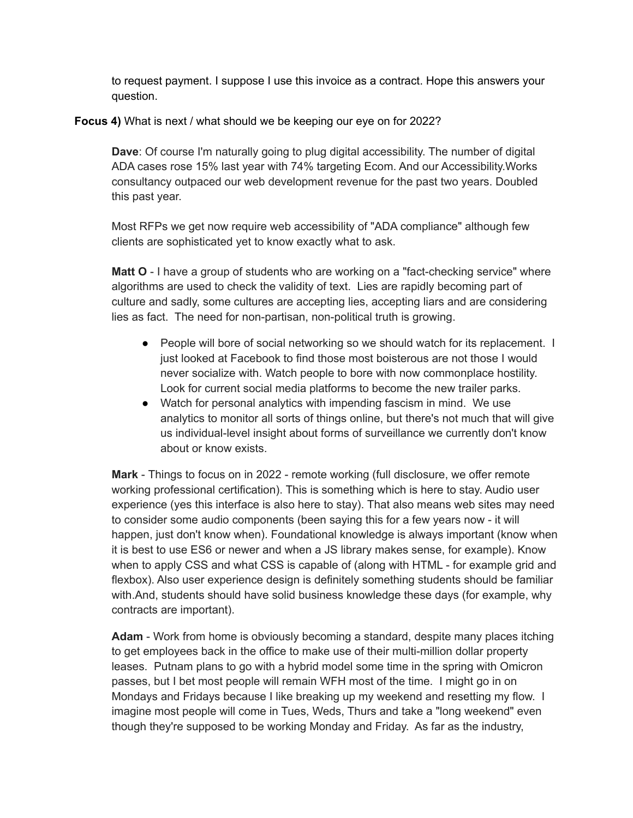to request payment. I suppose I use this invoice as a contract. Hope this answers your question.

**Focus 4)** What is next / what should we be keeping our eye on for 2022?

**Dave**: Of course I'm naturally going to plug digital accessibility. The number of digital ADA cases rose 15% last year with 74% targeting Ecom. And our Accessibility.Works consultancy outpaced our web development revenue for the past two years. Doubled this past year.

Most RFPs we get now require web accessibility of "ADA compliance" although few clients are sophisticated yet to know exactly what to ask.

**Matt O** - I have a group of students who are working on a "fact-checking service" where algorithms are used to check the validity of text. Lies are rapidly becoming part of culture and sadly, some cultures are accepting lies, accepting liars and are considering lies as fact. The need for non-partisan, non-political truth is growing.

- People will bore of social networking so we should watch for its replacement. I just looked at Facebook to find those most boisterous are not those I would never socialize with. Watch people to bore with now commonplace hostility. Look for current social media platforms to become the new trailer parks.
- Watch for personal analytics with impending fascism in mind. We use analytics to monitor all sorts of things online, but there's not much that will give us individual-level insight about forms of surveillance we currently don't know about or know exists.

**Mark** - Things to focus on in 2022 - remote working (full disclosure, we offer remote working professional certification). This is something which is here to stay. Audio user experience (yes this interface is also here to stay). That also means web sites may need to consider some audio components (been saying this for a few years now - it will happen, just don't know when). Foundational knowledge is always important (know when it is best to use ES6 or newer and when a JS library makes sense, for example). Know when to apply CSS and what CSS is capable of (along with HTML - for example grid and flexbox). Also user experience design is definitely something students should be familiar with.And, students should have solid business knowledge these days (for example, why contracts are important).

**Adam** - Work from home is obviously becoming a standard, despite many places itching to get employees back in the office to make use of their multi-million dollar property leases. Putnam plans to go with a hybrid model some time in the spring with Omicron passes, but I bet most people will remain WFH most of the time. I might go in on Mondays and Fridays because I like breaking up my weekend and resetting my flow. I imagine most people will come in Tues, Weds, Thurs and take a "long weekend" even though they're supposed to be working Monday and Friday. As far as the industry,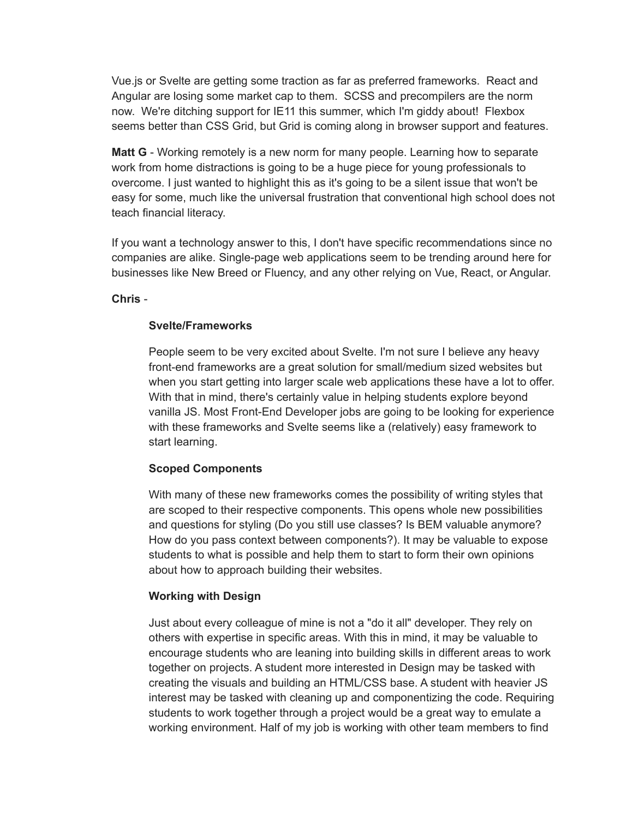Vue.js or Svelte are getting some traction as far as preferred frameworks. React and Angular are losing some market cap to them. SCSS and precompilers are the norm now. We're ditching support for IE11 this summer, which I'm giddy about! Flexbox seems better than CSS Grid, but Grid is coming along in browser support and features.

**Matt G** - Working remotely is a new norm for many people. Learning how to separate work from home distractions is going to be a huge piece for young professionals to overcome. I just wanted to highlight this as it's going to be a silent issue that won't be easy for some, much like the universal frustration that conventional high school does not teach financial literacy.

If you want a technology answer to this, I don't have specific recommendations since no companies are alike. Single-page web applications seem to be trending around here for businesses like New Breed or Fluency, and any other relying on Vue, React, or Angular.

**Chris** -

#### **Svelte/Frameworks**

People seem to be very excited about Svelte. I'm not sure I believe any heavy front-end frameworks are a great solution for small/medium sized websites but when you start getting into larger scale web applications these have a lot to offer. With that in mind, there's certainly value in helping students explore beyond vanilla JS. Most Front-End Developer jobs are going to be looking for experience with these frameworks and Svelte seems like a (relatively) easy framework to start learning.

## **Scoped Components**

With many of these new frameworks comes the possibility of writing styles that are scoped to their respective components. This opens whole new possibilities and questions for styling (Do you still use classes? Is BEM valuable anymore? How do you pass context between components?). It may be valuable to expose students to what is possible and help them to start to form their own opinions about how to approach building their websites.

## **Working with Design**

Just about every colleague of mine is not a "do it all" developer. They rely on others with expertise in specific areas. With this in mind, it may be valuable to encourage students who are leaning into building skills in different areas to work together on projects. A student more interested in Design may be tasked with creating the visuals and building an HTML/CSS base. A student with heavier JS interest may be tasked with cleaning up and componentizing the code. Requiring students to work together through a project would be a great way to emulate a working environment. Half of my job is working with other team members to find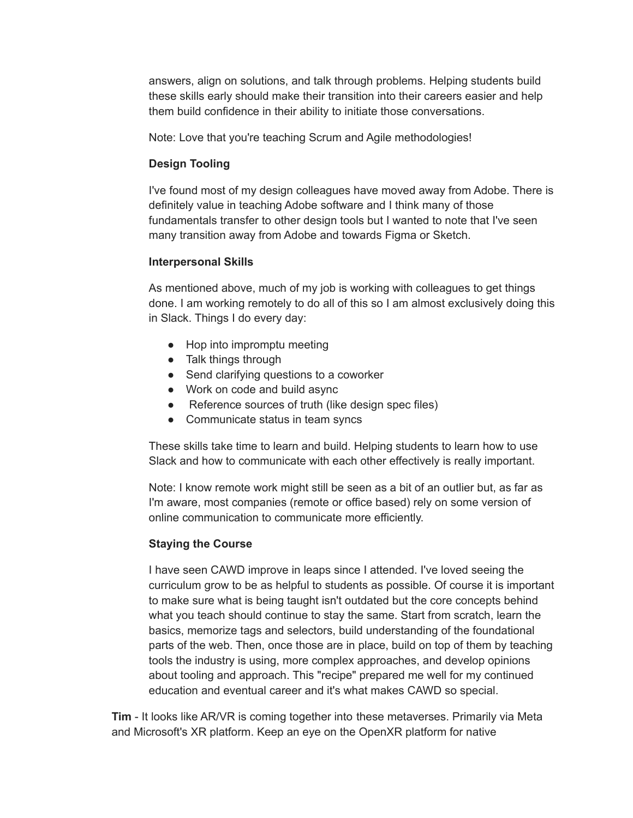answers, align on solutions, and talk through problems. Helping students build these skills early should make their transition into their careers easier and help them build confidence in their ability to initiate those conversations.

Note: Love that you're teaching Scrum and Agile methodologies!

## **Design Tooling**

I've found most of my design colleagues have moved away from Adobe. There is definitely value in teaching Adobe software and I think many of those fundamentals transfer to other design tools but I wanted to note that I've seen many transition away from Adobe and towards Figma or Sketch.

## **Interpersonal Skills**

As mentioned above, much of my job is working with colleagues to get things done. I am working remotely to do all of this so I am almost exclusively doing this in Slack. Things I do every day:

- Hop into impromptu meeting
- Talk things through
- Send clarifying questions to a coworker
- Work on code and build async
- Reference sources of truth (like design spec files)
- Communicate status in team syncs

These skills take time to learn and build. Helping students to learn how to use Slack and how to communicate with each other effectively is really important.

Note: I know remote work might still be seen as a bit of an outlier but, as far as I'm aware, most companies (remote or office based) rely on some version of online communication to communicate more efficiently.

## **Staying the Course**

I have seen CAWD improve in leaps since I attended. I've loved seeing the curriculum grow to be as helpful to students as possible. Of course it is important to make sure what is being taught isn't outdated but the core concepts behind what you teach should continue to stay the same. Start from scratch, learn the basics, memorize tags and selectors, build understanding of the foundational parts of the web. Then, once those are in place, build on top of them by teaching tools the industry is using, more complex approaches, and develop opinions about tooling and approach. This "recipe" prepared me well for my continued education and eventual career and it's what makes CAWD so special.

**Tim** - It looks like AR/VR is coming together into these metaverses. Primarily via Meta and Microsoft's XR platform. Keep an eye on the OpenXR platform for native